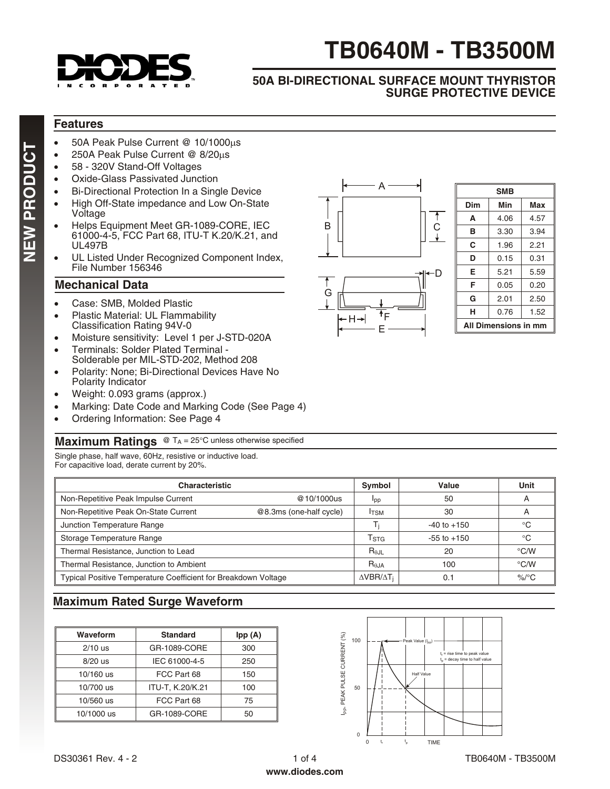

# **TB0640M - TB3500M**

C

 $\ddagger$ 

D

#### **50A BI-DIRECTIONAL SURFACE MOUNT THYRISTOR SURGE PROTECTIVE DEVICE**

A

 $-H \rightarrow$  <sup>1</sup>F E

# **Features**

- 50A Peak Pulse Current @ 10/1000µs
- 250A Peak Pulse Current @  $8/20\mu s$
- 58 320V Stand-Off Voltages
- Oxide-Glass Passivated Junction
- Bi-Directional Protection In a Single Device
- High Off-State impedance and Low On-State Voltage
- Helps Equipment Meet GR-1089-CORE, IEC 61000-4-5, FCC Part 68, ITU-T K.20/K.21, and UL497B
- UL Listed Under Recognized Component Index, File Number 156346

## **Mechanical Data**

- Case: SMB, Molded Plastic
- Plastic Material: UL Flammability Classification Rating 94V-0
- Moisture sensitivity: Level 1 per J-STD-020A
- Terminals: Solder Plated Terminal Solderable per MIL-STD-202, Method 208
- Polarity: None; Bi-Directional Devices Have No Polarity Indicator
- Weight: 0.093 grams (approx.)
- Marking: Date Code and Marking Code (See Page 4)
- Ordering Information: See Page 4

#### **Maximum Ratings** @ TA = 25°C unless otherwise specified

Single phase, half wave, 60Hz, resistive or inductive load. For capacitive load, derate current by 20%.

| <b>Characteristic</b>                                          | Symbol                  | Value                       | Unit            |                          |
|----------------------------------------------------------------|-------------------------|-----------------------------|-----------------|--------------------------|
| Non-Repetitive Peak Impulse Current                            | @10/1000us              | Ipp                         | 50              | $\overline{\phantom{a}}$ |
| Non-Repetitive Peak On-State Current                           | @8.3ms (one-half cycle) | <b>I</b> TSM                | 30              | $\overline{\mathsf{A}}$  |
| Junction Temperature Range                                     |                         |                             | $-40$ to $+150$ | °C                       |
| Storage Temperature Range                                      |                         | $\mathsf{T}_{\textsf{STG}}$ | $-55$ to $+150$ | $^{\circ}C$              |
| Thermal Resistance, Junction to Lead                           |                         | $R_{\theta,IL}$             | 20              | $\degree$ C/W            |
| Thermal Resistance, Junction to Ambient                        |                         | R <sub>0</sub> JA           | 100             | $\degree$ C/W            |
| Typical Positive Temperature Coefficient for Breakdown Voltage |                         |                             | 0.1             | $\%$ /°C                 |

B

G

## **Maximum Rated Surge Waveform**

| Waveform   | <b>Standard</b>  | Ipp (A) |  |  |
|------------|------------------|---------|--|--|
| $2/10$ us  | GR-1089-CORE     | 300     |  |  |
| $8/20$ us  | IEC 61000-4-5    | 250     |  |  |
| 10/160 us  | FCC Part 68      | 150     |  |  |
| 10/700 us  | ITU-T, K.20/K.21 | 100     |  |  |
| 10/560 us  | FCC Part 68      | 75      |  |  |
| 10/1000 us | GR-1089-CORE     | 50      |  |  |



| SMB                  |      |      |  |  |  |  |  |
|----------------------|------|------|--|--|--|--|--|
| Dim                  | Min  | Max  |  |  |  |  |  |
| A                    | 4.06 | 4.57 |  |  |  |  |  |
| в                    | 3.30 |      |  |  |  |  |  |
| C                    | 1.96 |      |  |  |  |  |  |
| D                    | 0.15 | 0.31 |  |  |  |  |  |
| Е                    | 5.21 | 5.59 |  |  |  |  |  |
| F                    | 0.20 |      |  |  |  |  |  |
| G                    | 2.01 | 2.50 |  |  |  |  |  |
| н                    | 0.76 | 1.52 |  |  |  |  |  |
| All Dimensions in mm |      |      |  |  |  |  |  |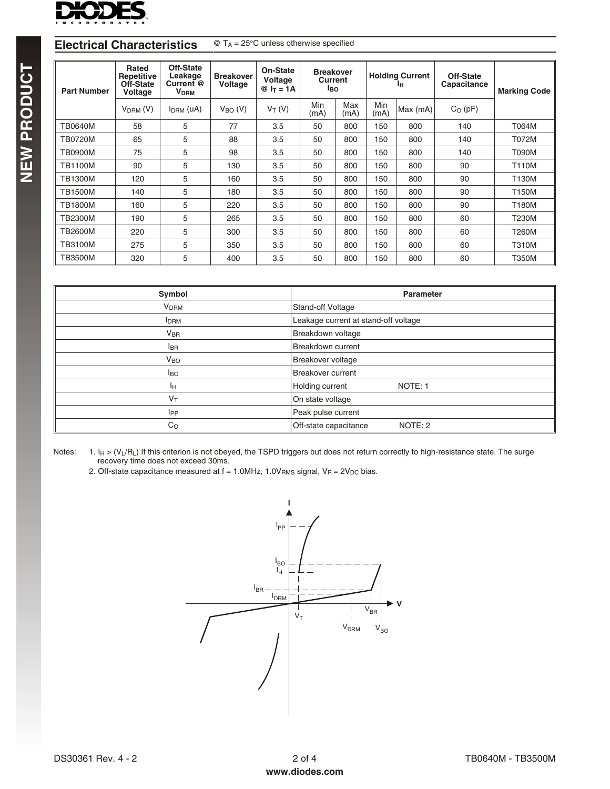

#### **Electrical Characteristics** @ T<sub>A</sub> = 25°C unless otherwise specified

| <b>Part Number</b> | Rated<br><b>Repetitive</b><br>Off-State<br>Voltage | Off-State<br>Leakage<br>Current @<br>V <sub>DRM</sub> | <b>Breakover</b><br>Voltage | On-State<br>Voltage<br>$@ I_T = 1A$ | <b>Breakover</b><br>Current<br><b>I</b> BO |             | <b>Holding Current</b><br>Iн |          | Off-State<br>Capacitance | <b>Marking Code</b> |  |
|--------------------|----------------------------------------------------|-------------------------------------------------------|-----------------------------|-------------------------------------|--------------------------------------------|-------------|------------------------------|----------|--------------------------|---------------------|--|
|                    | $VDRM$ (V)                                         | $IDRM$ (uA)                                           | $V_{BO} (V)$                | $V_T(V)$                            | Min<br>(mA)                                | Max<br>(mA) | Min<br>(mA)                  | Max (mA) | $C_O$ (pF)               |                     |  |
| <b>TB0640M</b>     | 58                                                 | 5                                                     | 77                          | 3.5                                 | 50                                         | 800         | 150                          | 800      | 140                      | T064M               |  |
| <b>TB0720M</b>     | 65                                                 | 5                                                     | 88                          | 3.5                                 | 50                                         | 800         | 150                          | 800      | 140                      | T072M               |  |
| <b>TB0900M</b>     | 75                                                 | 5                                                     | 98                          | 3.5                                 | 50                                         | 800         | 150                          | 800      | 140                      | T090M               |  |
| <b>TB1100M</b>     | 90                                                 | 5                                                     | 130                         | 3.5                                 | 50                                         | 800         | 150                          | 800      | 90                       | <b>T110M</b>        |  |
| <b>TB1300M</b>     | 120                                                | 5                                                     | 160                         | 3.5                                 | 50                                         | 800         | 150                          | 800      | 90                       | T130M               |  |
| <b>TB1500M</b>     | 140                                                | 5                                                     | 180                         | 3.5                                 | 50                                         | 800         | 150                          | 800      | 90                       | T150M               |  |
| <b>TB1800M</b>     | 160                                                | 5                                                     | 220                         | 3.5                                 | 50                                         | 800         | 150                          | 800      | 90                       | <b>T180M</b>        |  |
| <b>TB2300M</b>     | 190                                                | 5                                                     | 265                         | 3.5                                 | 50                                         | 800         | 150                          | 800      | 60                       | <b>T230M</b>        |  |
| <b>TB2600M</b>     | 220                                                | 5                                                     | 300                         | 3.5                                 | 50                                         | 800         | 150                          | 800      | 60                       | T260M               |  |
| <b>TB3100M</b>     | 275                                                | 5                                                     | 350                         | 3.5                                 | 50                                         | 800         | 150                          | 800      | 60                       | <b>T310M</b>        |  |
| <b>TB3500M</b>     | 320                                                | 5                                                     | 400                         | 3.5                                 | 50                                         | 800         | 150                          | 800      | 60                       | T350M               |  |

| Symbol                  | <b>Parameter</b>                     |
|-------------------------|--------------------------------------|
| <b>V<sub>DRM</sub></b>  | Stand-off Voltage                    |
| <b>I</b> <sub>DRM</sub> | Leakage current at stand-off voltage |
| $V_{\text{BR}}$         | Breakdown voltage                    |
| <b>I</b> BR             | Breakdown current                    |
| V <sub>BO</sub>         | Breakover voltage                    |
| <b>I</b> BO             | <b>Breakover current</b>             |
| Iн                      | Holding current<br>NOTE: 1           |
| $V_T$                   | On state voltage                     |
| <b>I</b> PP             | Peak pulse current                   |
| $C_{\rm O}$             | Off-state capacitance<br>NOTE: 2     |

Notes: 1. I<sub>H</sub> > (V<sub>L</sub>/R<sub>L</sub>) If this criterion is not obeyed, the TSPD triggers but does not return correctly to high-resistance state. The surge recovery time does not exceed 30ms.

2. Off-state capacitance measured at  $f = 1.0$ MHz, 1.0V<sub>RMS</sub> signal, V<sub>R</sub> = 2V<sub>DC</sub> bias.

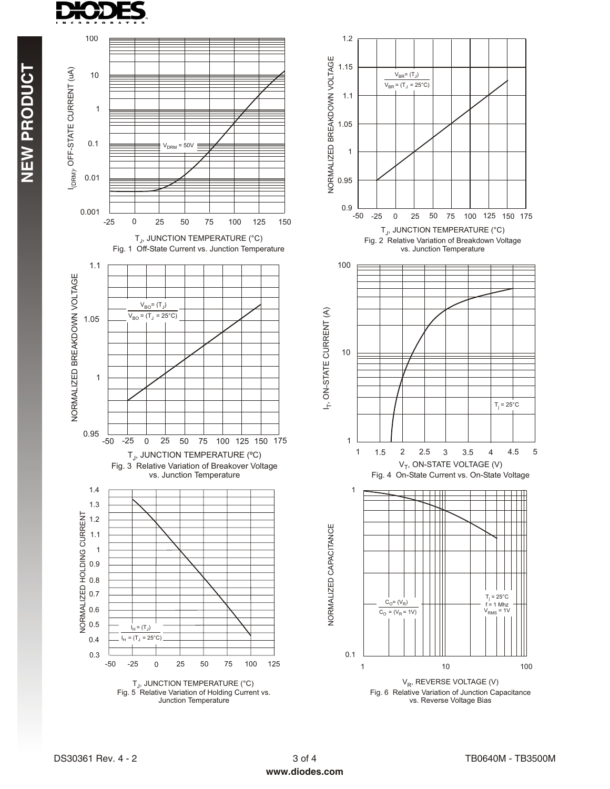

**TCUDORPWEN**